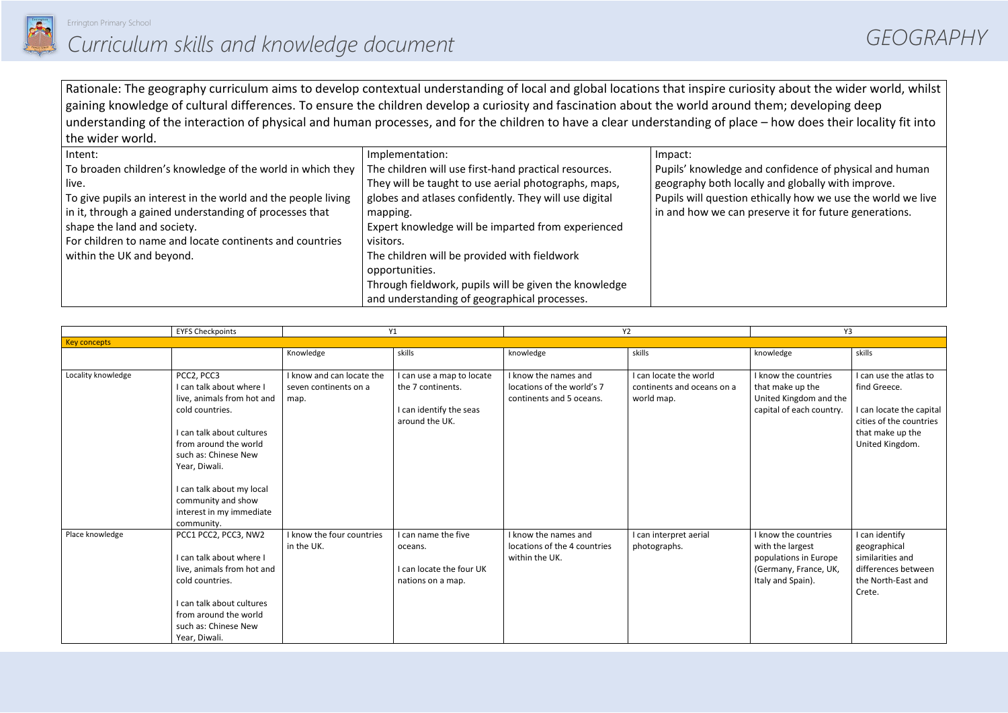

Rationale: The geography curriculum aims to develop contextual understanding of local and global locations that inspire curiosity about the wider world, whilst gaining knowledge of cultural differences. To ensure the children develop a curiosity and fascination about the world around them; developing deep understanding of the interaction of physical and human processes, and for the children to have a clear understanding of place – how does their locality fit into the wider world.

| Intent:                                                       | Implementation:                                       | Impact:                  |
|---------------------------------------------------------------|-------------------------------------------------------|--------------------------|
| To broaden children's knowledge of the world in which they    | The children will use first-hand practical resources. | Pupils' knowledge and    |
| live.                                                         | They will be taught to use aerial photographs, maps,  | geography both locally   |
| To give pupils an interest in the world and the people living | globes and atlases confidently. They will use digital | Pupils will question etl |
| in it, through a gained understanding of processes that       | mapping.                                              | in and how we can pre    |
| shape the land and society.                                   | Expert knowledge will be imparted from experienced    |                          |
| For children to name and locate continents and countries      | visitors.                                             |                          |
| within the UK and beyond.                                     | The children will be provided with fieldwork          |                          |
|                                                               | opportunities.                                        |                          |
|                                                               | Through fieldwork, pupils will be given the knowledge |                          |
|                                                               | and understanding of geographical processes.          |                          |

|                     | <b>EYFS Checkpoints</b>                                                                                                                                                                                                                                                             | Y1                                                         |                                                                                             | Y2                                                                             |                                                                    | Y3                                                                                                              |                                                                                                                                      |
|---------------------|-------------------------------------------------------------------------------------------------------------------------------------------------------------------------------------------------------------------------------------------------------------------------------------|------------------------------------------------------------|---------------------------------------------------------------------------------------------|--------------------------------------------------------------------------------|--------------------------------------------------------------------|-----------------------------------------------------------------------------------------------------------------|--------------------------------------------------------------------------------------------------------------------------------------|
| <b>Key concepts</b> |                                                                                                                                                                                                                                                                                     |                                                            |                                                                                             |                                                                                |                                                                    |                                                                                                                 |                                                                                                                                      |
|                     |                                                                                                                                                                                                                                                                                     | Knowledge                                                  | skills                                                                                      | knowledge                                                                      | skills                                                             | knowledge                                                                                                       | skills                                                                                                                               |
| Locality knowledge  | PCC2, PCC3<br>I can talk about where I<br>live, animals from hot and<br>cold countries.<br>I can talk about cultures<br>from around the world<br>such as: Chinese New<br>Year, Diwali.<br>I can talk about my local<br>community and show<br>interest in my immediate<br>community. | I know and can locate the<br>seven continents on a<br>map. | I can use a map to locate<br>the 7 continents.<br>I can identify the seas<br>around the UK. | I know the names and<br>locations of the world's 7<br>continents and 5 oceans. | I can locate the world<br>continents and oceans on a<br>world map. | I know the countries<br>that make up the<br>United Kingdom and the<br>capital of each country.                  | I can use the atlas to<br>find Greece.<br>I can locate the capital<br>cities of the countries<br>that make up the<br>United Kingdom. |
| Place knowledge     | PCC1 PCC2, PCC3, NW2<br>I can talk about where I<br>live, animals from hot and<br>cold countries.<br>I can talk about cultures<br>from around the world<br>such as: Chinese New<br>Year, Diwali.                                                                                    | I know the four countries<br>in the UK.                    | I can name the five<br>oceans.<br>I can locate the four UK<br>nations on a map.             | I know the names and<br>locations of the 4 countries<br>within the UK.         | I can interpret aerial<br>photographs.                             | I know the countries<br>with the largest<br>populations in Europe<br>(Germany, France, UK,<br>Italy and Spain). | I can identify<br>geographical<br>similarities and<br>differences between<br>the North-East and<br>Crete.                            |

confidence of physical and human y and globally with improve. hically how we use the world we live eserve it for future generations.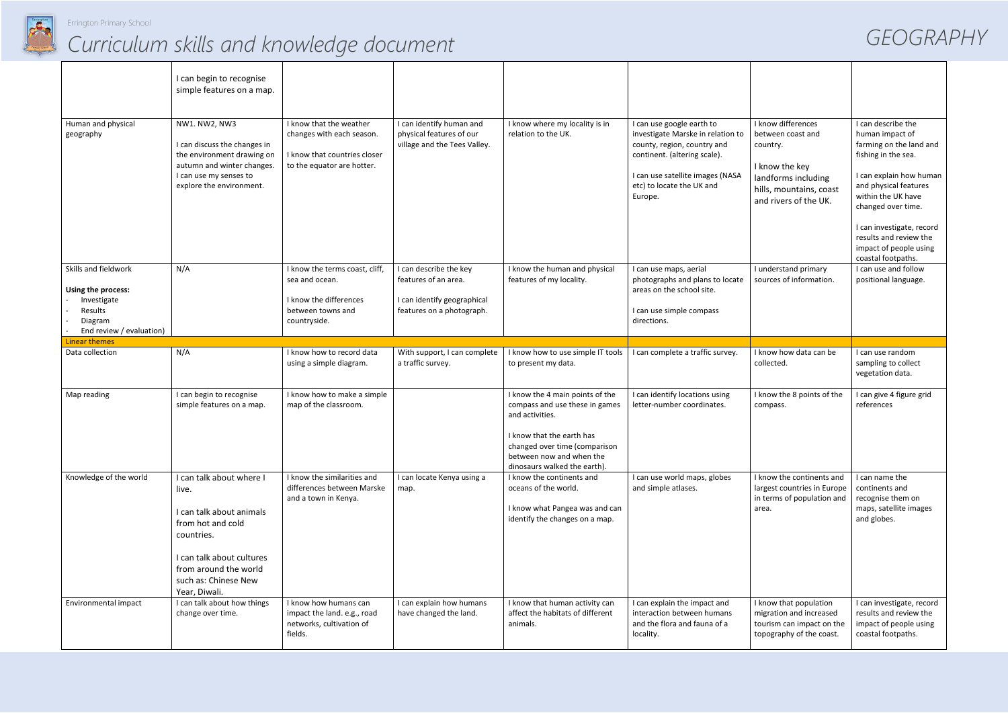

# *Curriculum skills and knowledge document GEOGRAPHY*

|                                                                                                             | I can begin to recognise<br>simple features on a map.                                                                                                                                           |                                                                                                                    |                                                                                                            |                                                                                                                                                                                                                |                                                                                                                                                                                                           |                                                                                                                                                  |                                                                                                                                                                                                                                                                                                |
|-------------------------------------------------------------------------------------------------------------|-------------------------------------------------------------------------------------------------------------------------------------------------------------------------------------------------|--------------------------------------------------------------------------------------------------------------------|------------------------------------------------------------------------------------------------------------|----------------------------------------------------------------------------------------------------------------------------------------------------------------------------------------------------------------|-----------------------------------------------------------------------------------------------------------------------------------------------------------------------------------------------------------|--------------------------------------------------------------------------------------------------------------------------------------------------|------------------------------------------------------------------------------------------------------------------------------------------------------------------------------------------------------------------------------------------------------------------------------------------------|
| Human and physical<br>geography                                                                             | NW1. NW2, NW3<br>I can discuss the changes in<br>the environment drawing on<br>autumn and winter changes.<br>I can use my senses to<br>explore the environment.                                 | I know that the weather<br>changes with each season.<br>I know that countries closer<br>to the equator are hotter. | I can identify human and<br>physical features of our<br>village and the Tees Valley.                       | I know where my locality is in<br>relation to the UK.                                                                                                                                                          | I can use google earth to<br>investigate Marske in relation to<br>county, region, country and<br>continent. (altering scale).<br>I can use satellite images (NASA<br>etc) to locate the UK and<br>Europe. | I know differences<br>between coast and<br>country.<br>I know the key<br>landforms including<br>hills, mountains, coast<br>and rivers of the UK. | I can describe the<br>human impact of<br>farming on the land and<br>fishing in the sea.<br>I can explain how human<br>and physical features<br>within the UK have<br>changed over time.<br>I can investigate, record<br>results and review the<br>impact of people using<br>coastal footpaths. |
| Skills and fieldwork<br>Using the process:<br>Investigate<br>Results<br>Diagram<br>End review / evaluation) | N/A                                                                                                                                                                                             | I know the terms coast, cliff,<br>sea and ocean.<br>I know the differences<br>between towns and<br>countryside.    | I can describe the key<br>features of an area.<br>I can identify geographical<br>features on a photograph. | I know the human and physical<br>features of my locality.                                                                                                                                                      | I can use maps, aerial<br>photographs and plans to locate<br>areas on the school site.<br>I can use simple compass<br>directions.                                                                         | I understand primary<br>sources of information.                                                                                                  | I can use and follow<br>positional language.                                                                                                                                                                                                                                                   |
| <b>Linear themes</b>                                                                                        |                                                                                                                                                                                                 |                                                                                                                    |                                                                                                            |                                                                                                                                                                                                                |                                                                                                                                                                                                           |                                                                                                                                                  |                                                                                                                                                                                                                                                                                                |
| Data collection                                                                                             | N/A                                                                                                                                                                                             | I know how to record data<br>using a simple diagram.                                                               | With support, I can complete<br>a traffic survey.                                                          | I know how to use simple IT tools<br>to present my data.                                                                                                                                                       | I can complete a traffic survey.                                                                                                                                                                          | I know how data can be<br>collected.                                                                                                             | I can use random<br>sampling to collect<br>vegetation data.                                                                                                                                                                                                                                    |
| Map reading                                                                                                 | I can begin to recognise<br>simple features on a map.                                                                                                                                           | I know how to make a simple<br>map of the classroom.                                                               |                                                                                                            | I know the 4 main points of the<br>compass and use these in games<br>and activities.<br>I know that the earth has<br>changed over time (comparison<br>between now and when the<br>dinosaurs walked the earth). | I can identify locations using<br>letter-number coordinates.                                                                                                                                              | I know the 8 points of the<br>compass.                                                                                                           | I can give 4 figure grid<br>references                                                                                                                                                                                                                                                         |
| Knowledge of the world                                                                                      | I can talk about where I<br>live.<br>I can talk about animals<br>from hot and cold<br>countries.<br>I can talk about cultures<br>from around the world<br>such as: Chinese New<br>Year, Diwali. | I know the similarities and<br>differences between Marske<br>and a town in Kenya.                                  | I can locate Kenya using a<br>map.                                                                         | I know the continents and<br>oceans of the world.<br>I know what Pangea was and can<br>identify the changes on a map.                                                                                          | I can use world maps, globes<br>and simple atlases.                                                                                                                                                       | I know the continents and<br>largest countries in Europe<br>in terms of population and<br>area.                                                  | I can name the<br>continents and<br>recognise them on<br>maps, satellite images<br>and globes.                                                                                                                                                                                                 |
| Environmental impact                                                                                        | I can talk about how things<br>change over time.                                                                                                                                                | I know how humans can<br>impact the land. e.g., road<br>networks, cultivation of<br>fields.                        | I can explain how humans<br>have changed the land.                                                         | I know that human activity can<br>affect the habitats of different<br>animals.                                                                                                                                 | I can explain the impact and<br>interaction between humans<br>and the flora and fauna of a<br>locality.                                                                                                   | I know that population<br>migration and increased<br>tourism can impact on the<br>topography of the coast.                                       | I can investigate, record<br>results and review the<br>impact of people using<br>coastal footpaths.                                                                                                                                                                                            |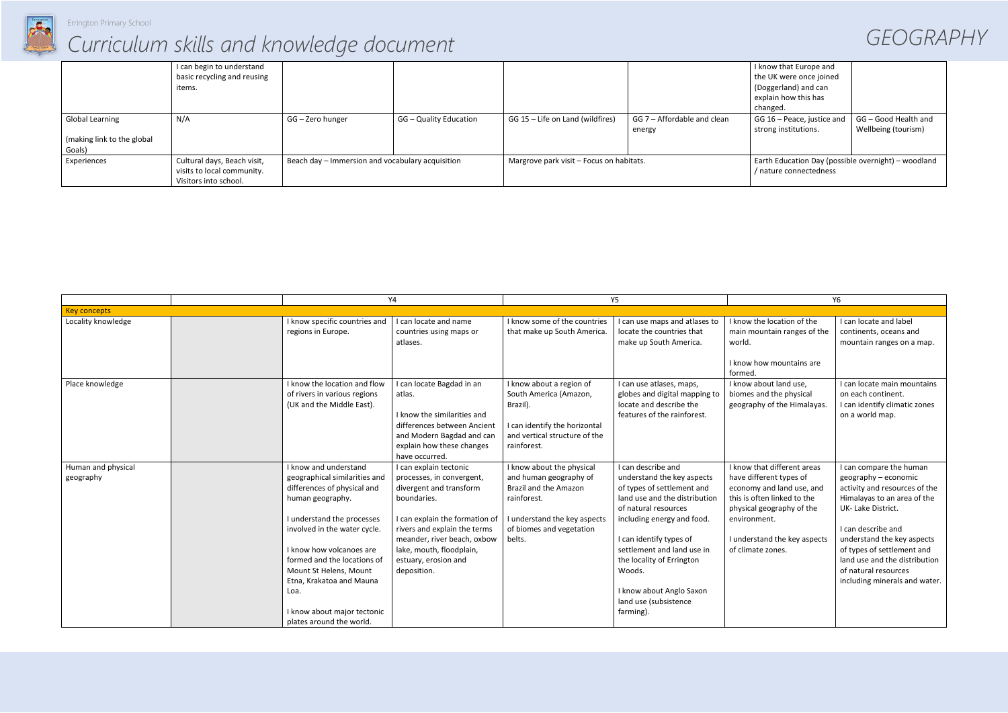

Errington Primary School

## *Curriculum skills and knowledge document GEOGRAPHY*

|                            | I can begin to understand   |                                                  |                        |                                          |                             | I know that Europe and                              |                      |
|----------------------------|-----------------------------|--------------------------------------------------|------------------------|------------------------------------------|-----------------------------|-----------------------------------------------------|----------------------|
|                            | basic recycling and reusing |                                                  |                        |                                          |                             | the UK were once joined                             |                      |
|                            | items.                      |                                                  |                        |                                          |                             | (Doggerland) and can                                |                      |
|                            |                             |                                                  |                        |                                          |                             | explain how this has                                |                      |
|                            |                             |                                                  |                        |                                          |                             | changed.                                            |                      |
| <b>Global Learning</b>     | N/A                         | GG – Zero hunger                                 | GG - Quality Education | GG 15 - Life on Land (wildfires)         | GG 7 - Affordable and clean | GG 16 - Peace, justice and                          | GG - Good Health and |
|                            |                             |                                                  |                        |                                          | energy                      | strong institutions.                                | Wellbeing (tourism)  |
| (making link to the global |                             |                                                  |                        |                                          |                             |                                                     |                      |
| Goals)                     |                             |                                                  |                        |                                          |                             |                                                     |                      |
| Experiences                | Cultural days, Beach visit, | Beach day - Immersion and vocabulary acquisition |                        | Margrove park visit - Focus on habitats. |                             | Earth Education Day (possible overnight) - woodland |                      |
|                            | visits to local community.  |                                                  |                        |                                          |                             | / nature connectedness                              |                      |
|                            | Visitors into school.       |                                                  |                        |                                          |                             |                                                     |                      |

|                                 |                                                                                                                                                                                                                                                                                                                                                             | Y4                                                                                                                                                                                                                                                                |                                                                                                                                                                   | <b>Y5</b>                                                                                                                                                                                                                                                                                                                               |                                                                                                                                                                                                                      | Y6                                                                                                                                                                                                                                                                                                               |  |
|---------------------------------|-------------------------------------------------------------------------------------------------------------------------------------------------------------------------------------------------------------------------------------------------------------------------------------------------------------------------------------------------------------|-------------------------------------------------------------------------------------------------------------------------------------------------------------------------------------------------------------------------------------------------------------------|-------------------------------------------------------------------------------------------------------------------------------------------------------------------|-----------------------------------------------------------------------------------------------------------------------------------------------------------------------------------------------------------------------------------------------------------------------------------------------------------------------------------------|----------------------------------------------------------------------------------------------------------------------------------------------------------------------------------------------------------------------|------------------------------------------------------------------------------------------------------------------------------------------------------------------------------------------------------------------------------------------------------------------------------------------------------------------|--|
| <b>Key concepts</b>             |                                                                                                                                                                                                                                                                                                                                                             |                                                                                                                                                                                                                                                                   |                                                                                                                                                                   |                                                                                                                                                                                                                                                                                                                                         |                                                                                                                                                                                                                      |                                                                                                                                                                                                                                                                                                                  |  |
| Locality knowledge              | I know specific countries and<br>regions in Europe.                                                                                                                                                                                                                                                                                                         | I can locate and name<br>countries using maps or<br>atlases.                                                                                                                                                                                                      | I know some of the countries<br>that make up South America.                                                                                                       | I can use maps and atlases to<br>locate the countries that<br>make up South America.                                                                                                                                                                                                                                                    | I know the location of the<br>main mountain ranges of the<br>world.<br>I know how mountains are<br>formed.                                                                                                           | I can locate and label<br>continents, oceans and<br>mountain ranges on a map.                                                                                                                                                                                                                                    |  |
| Place knowledge                 | I know the location and flow<br>of rivers in various regions<br>(UK and the Middle East).                                                                                                                                                                                                                                                                   | I can locate Bagdad in an<br>atlas.<br>I know the similarities and<br>differences between Ancient<br>and Modern Bagdad and can<br>explain how these changes<br>have occurred.                                                                                     | I know about a region of<br>South America (Amazon,<br>Brazil).<br>I can identify the horizontal<br>and vertical structure of the<br>rainforest.                   | I can use atlases, maps,<br>globes and digital mapping to<br>locate and describe the<br>features of the rainforest.                                                                                                                                                                                                                     | I know about land use,<br>biomes and the physical<br>geography of the Himalayas.                                                                                                                                     | I can locate main mountains<br>on each continent.<br>I can identify climatic zones<br>on a world map.                                                                                                                                                                                                            |  |
| Human and physical<br>geography | I know and understand<br>geographical similarities and<br>differences of physical and<br>human geography.<br>I understand the processes<br>involved in the water cycle.<br>I know how volcanoes are<br>formed and the locations of<br>Mount St Helens, Mount<br>Etna, Krakatoa and Mauna<br>Loa.<br>I know about major tectonic<br>plates around the world. | I can explain tectonic<br>processes, in convergent,<br>divergent and transform<br>boundaries.<br>I can explain the formation of<br>rivers and explain the terms<br>meander, river beach, oxbow<br>lake, mouth, floodplain,<br>estuary, erosion and<br>deposition. | I know about the physical<br>and human geography of<br>Brazil and the Amazon<br>rainforest.<br>I understand the key aspects<br>of biomes and vegetation<br>belts. | I can describe and<br>understand the key aspects<br>of types of settlement and<br>land use and the distribution<br>of natural resources<br>including energy and food.<br>I can identify types of<br>settlement and land use in<br>the locality of Errington<br>Woods.<br>I know about Anglo Saxon<br>land use (subsistence<br>farming). | I know that different areas<br>have different types of<br>economy and land use, and<br>this is often linked to the<br>physical geography of the<br>environment.<br>I understand the key aspects<br>of climate zones. | I can compare the human<br>geography - economic<br>activity and resources of the<br>Himalayas to an area of the<br>UK-Lake District.<br>I can describe and<br>understand the key aspects<br>of types of settlement and<br>land use and the distribution<br>of natural resources<br>including minerals and water. |  |